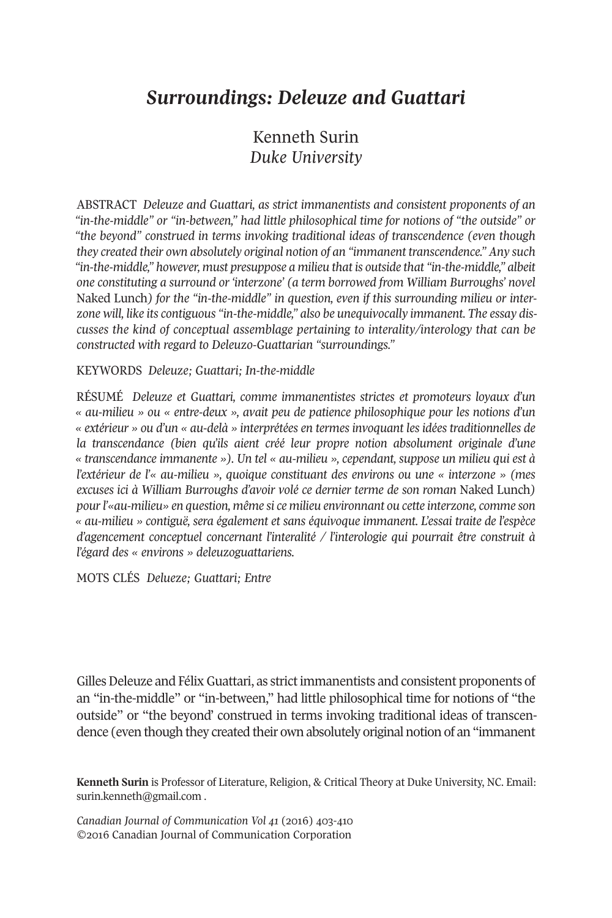# *Surroundings: Deleuze and Guattari*

# Kenneth Surin *Duke University*

ABSTRACT *Deleuze and Guattari, as strict immanentists and consistent proponents of an "in-the-middle" or "in-between," had little philosophical time for notions of "the outside" or "the beyond" construed in terms invoking traditional ideas of transcendence (even though they created their own absolutely original notion of an "immanent transcendence." Any such "in-the-middle," however, must presuppose a milieu that is outside that "in-the-middle," albeit one constituting a surround or 'interzone' (a term borrowed from William Burroughs' novel* Naked Lunch*) for the "in-the-middle" in question, even if this surrounding milieu or interzone will, like its contiguous "in-the-middle," also be unequivocally immanent. The essay discusses the kind of conceptual assemblage pertaining to interality/interology that can be constructed with regard to Deleuzo-Guattarian "surroundings."*

## KEYWORDS *Deleuze; Guattari; In-the-middle*

RÉSUMÉ *Deleuze et Guattari, comme immanentistes strictes et promoteurs loyaux d'un « au-milieu » ou « entre-deux », avait peu de patience philosophique pour les notions d'un « extérieur » ou d'un « au-delà » interprétées en termes invoquant les idées traditionnelles de la transcendance (bien qu'ils aient créé leur propre notion absolument originale d'une « transcendance immanente »). Un tel « au-milieu », cependant, suppose un milieu qui est à l'extérieur de l'« au-milieu », quoique constituant des environs ou une « interzone » (mes excuses ici à William Burroughs d'avoir volé ce dernier terme de son roman* Naked Lunch*) pourl'«au-milieu» en question, même si ce milieu environnant ou cette interzone, comme son « au-milieu » contiguë, sera également et sans équivoque immanent. L'essai traite de l'espèce d'agencement conceptuel concernant l'interalité / l'interologie qui pourrait être construit à l'égard des « environs » deleuzoguattariens.*

MOTS CLÉS *Delueze; Guattari; Entre*

Gilles Deleuze and Félix Guattari, as strict immanentists and consistent proponents of an "in-the-middle" or "in-between," had little philosophical time for notions of "the outside" or "the beyond' construed in terms invoking traditional ideas of transcendence (even though they created their own absolutely original notion of an "immanent

**Kenneth Surin** is Professor of Literature, Religion, & Critical Theory at Duke University, NC. Email: [surin.kenneth@gmail.com](mailto:surin.kenneth@gmail.com) .

*Canadian Journal of [Communication](http://www.cjc-online.ca) Vol 41* (2016) 403-410 ©2016 Canadian Journal of Communication Corporation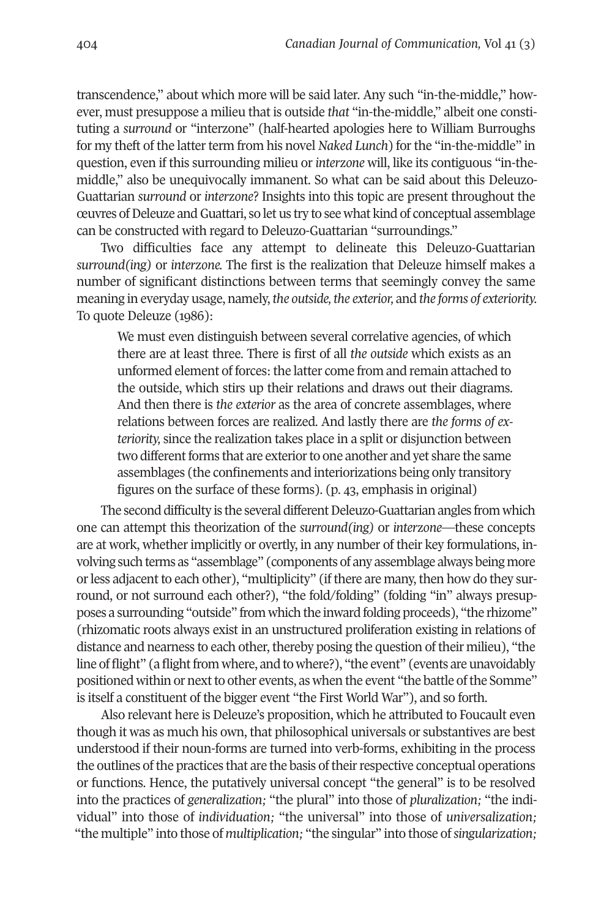transcendence," about which more will be said later. Any such "in-the-middle," however, must presuppose a milieu that is outside *that* "in-the-middle," albeit one constituting a *surround* or "interzone" (half-hearted apologies here to William Burroughs for my theft of the latter term from his novel *Naked Lunch*) for the "in-the-middle" in question, even if this surrounding milieu or *interzone* will, like its contiguous "in-themiddle," also be unequivocally immanent. So what can be said about this Deleuzo-Guattarian *surround* or *interzone*? Insights into this topic are present throughout the œuvres ofDeleuze andGuattari, so let us try to see what kind of conceptual assemblage can be constructed with regard to Deleuzo-Guattarian "surroundings."

Two difficulties face any attempt to delineate this Deleuzo-Guattarian *surround(ing)* or *interzone.* The first is the realization that Deleuze himself makes a number of significant distinctions between terms that seemingly convey the same meaning in everyday usage, namely, *the outside, the exterior,* and *the forms of exteriority.* To quote Deleuze (1986):

We must even distinguish between several correlative agencies, of which there are at least three. There is first of all *the outside* which exists as an unformed element of forces: the latter come from and remain attached to the outside, which stirs up their relations and draws out their diagrams. And then there is *the exterior* as the area of concrete assemblages, where relations between forces are realized. And lastly there are *the forms of exteriority,* since the realization takes place in a split or disjunction between two different forms that are exterior to one another and yet share the same assemblages (the confinements and interiorizations being only transitory figures on the surface of these forms). (p. 43, emphasis in original)

The second difficulty is the several different Deleuzo-Guattarian angles from which one can attempt this theorization of the *surround(ing)* or *interzone*—these concepts are at work, whether implicitly or overtly, in any number of their key formulations, involving such terms as "assemblage" (components of any assemblage always being more orless adjacent to each other), "multiplicity" (if there are many, then how do they surround, or not surround each other?), "the fold/folding" (folding "in" always presupposes a surrounding "outside" from which the inward folding proceeds), "the rhizome" (rhizomatic roots always exist in an unstructured proliferation existing in relations of distance and nearness to each other, thereby posing the question of their milieu), "the line of flight" (a flight from where, and to where?), "the event" (events are unavoidably positioned within or next to other events, as when the event "the battle of the Somme" is itself a constituent of the bigger event "the First World War"), and so forth.

Also relevant here is Deleuze's proposition, which he attributed to Foucault even though it was as much his own, that philosophical universals or substantives are best understood if their noun-forms are turned into verb-forms, exhibiting in the process the outlines of the practices that are the basis of their respective conceptual operations or functions. Hence, the putatively universal concept "the general" is to be resolved into the practices of *generalization;* "the plural" into those of *pluralization;* "the individual" into those of *individuation;* "the universal" into those of *universalization;* "the multiple" into those of *multiplication;* "the singular" into those of*singularization;*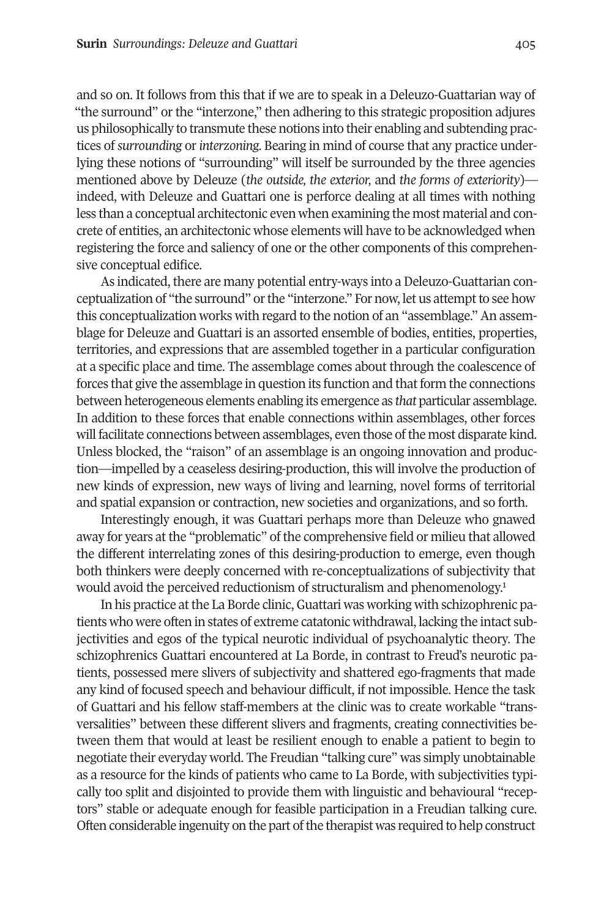and so on. It follows from this that if we are to speak in a Deleuzo-Guattarian way of "the surround" or the "interzone," then adhering to this strategic proposition adjures us philosophically to transmute these notions into their enabling and subtending practices of*surrounding* or *interzoning.* Bearing in mind of course that any practice underlying these notions of "surrounding" will itself be surrounded by the three agencies mentioned above by Deleuze (*the outside, the exterior,* and *the forms of exteriority*) indeed, with Deleuze and Guattari one is perforce dealing at all times with nothing less than a conceptual architectonic even when examining the most material and concrete of entities, an architectonic whose elements will have to be acknowledged when registering the force and saliency of one or the other components of this comprehensive conceptual edifice.

As indicated, there are many potential entry-ways into a Deleuzo-Guattarian conceptualization of "the surround" or the "interzone." For now, let us attempt to see how this conceptualization works with regard to the notion of an "assemblage."An assemblage for Deleuze and Guattari is an assorted ensemble of bodies, entities, properties, territories, and expressions that are assembled together in a particular configuration at a specific place and time. The assemblage comes about through the coalescence of forces that give the assemblage in question its function and that form the connections between heterogeneous elements enabling its emergence as *that* particular assemblage. In addition to these forces that enable connections within assemblages, other forces will facilitate connections between assemblages, even those of the most disparate kind. Unless blocked, the "raison" of an assemblage is an ongoing innovation and production—impelled by a ceaseless desiring-production, this will involve the production of new kinds of expression, new ways of living and learning, novel forms of territorial and spatial expansion or contraction, new societies and organizations, and so forth.

Interestingly enough, it was Guattari perhaps more than Deleuze who gnawed away for years at the "problematic" of the comprehensive field or milieu that allowed the different interrelating zones of this desiring-production to emerge, even though both thinkers were deeply concerned with re-conceptualizations of subjectivi[ty](#page-6-0) that would avoid the perceived reductionism of structuralism and phenomenology. 1

In his practice at the La Borde clinic, Guattari was working with schizophrenic patients who were often in states of extreme catatonic withdrawal, lacking the intact subjectivities and egos of the typical neurotic individual of psychoanalytic theory. The schizophrenics Guattari encountered at La Borde, in contrast to Freud's neurotic patients, possessed mere slivers of subjectivity and shattered ego-fragments that made any kind of focused speech and behaviour difficult, if not impossible. Hence the task of Guattari and his fellow staff-members at the clinic was to create workable "transversalities" between these different slivers and fragments, creating connectivities between them that would at least be resilient enough to enable a patient to begin to negotiate their everyday world. The Freudian "talking cure" was simply unobtainable as a resource for the kinds of patients who came to La Borde, with subjectivities typically too split and disjointed to provide them with linguistic and behavioural "receptors" stable or adequate enough for feasible participation in a Freudian talking cure. Often considerable ingenuity on the part of the therapist was required to help construct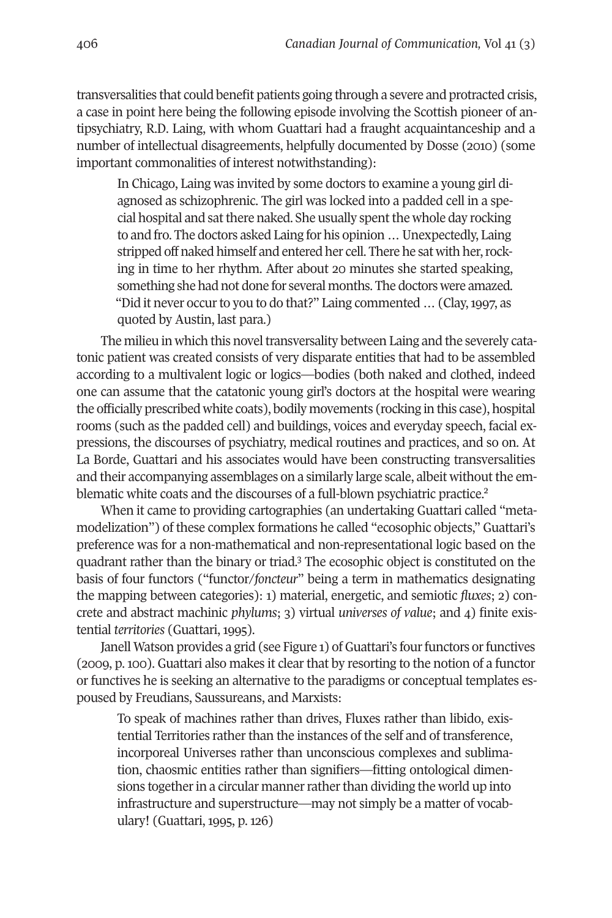transversalities that could benefit patients going through a severe and protracted crisis, a case in point here being the following episode involving the Scottish pioneer of antipsychiatry, R.D. Laing, with whom Guattari had a fraught acquaintanceship and a number of intellectual disagreements, helpfully documented by Dosse (2010) (some important commonalities of interest notwithstanding):

In Chicago, Laing was invited by some doctors to examine a young girl diagnosed as schizophrenic. The girl was locked into a padded cell in a special hospital and sat there naked. She usually spent the whole day rocking to and fro. The doctors asked Laing for his opinion … Unexpectedly, Laing stripped off naked himself and entered her cell. There he sat with her, rocking in time to her rhythm. After about 20 minutes she started speaking, something she had not done for several months. The doctors were amazed. "Did it never occur to you to do that?" Laing commented ... (Clay, 1997, as quoted by Austin, last para.)

The milieu in which this novel transversality between Laing and the severely catatonic patient was created consists of very disparate entities that had to be assembled according to a multivalent logic or logics—bodies (both naked and clothed, indeed one can assume that the catatonic young girl's doctors at the hospital were wearing the officially prescribed white coats), bodily movements (rocking in this case), hospital rooms (such as the padded cell) and buildings, voices and everyday speech, facial expressions, the discourses of psychiatry, medical routines and practices, and so on. At La Borde, Guattari and his associates would have been constructing transversalities and their accompanying assemblages on a similarly large scale, albeit witho[ut](#page-6-1) the emblematic white coats and the discourses of a full-blown psychiatric practice. 2

When it came to providing cartographies (an undertaking Guattari called "metamodelization") of these complex formations he called "ecosophic objects," Guattari's preference was for a non-mathematical [an](#page-7-0)d non-representational logic based on the quadrant rather than the binary or triad. <sup>3</sup> The ecosophic object is constituted on the basis of four functors ("functor/*foncteur*" being a term in mathematics designating the mapping between categories): 1) material, energetic, and semiotic *fluxes*; 2) concrete and abstract machinic *phylums*; 3) virtual *universes of value*; and 4) finite existential *territories* (Guattari, 1995).

Janell Watson provides a grid (see Figure 1) of Guattari's four functors or functives (2009, p. 100). Guattari also makes it clear that by resorting to the notion of a functor or functives he is seeking an alternative to the paradigms or conceptual templates espoused by Freudians, Saussureans, and Marxists:

To speak of machines rather than drives, Fluxes rather than libido, existential Territories rather than the instances of the self and of transference, incorporeal Universes rather than unconscious complexes and sublimation, chaosmic entities rather than signifiers—fitting ontological dimensions together in a circular manner rather than dividing the world up into infrastructure and superstructure—may not simply be a matter of vocabulary! (Guattari, 1995, p. 126)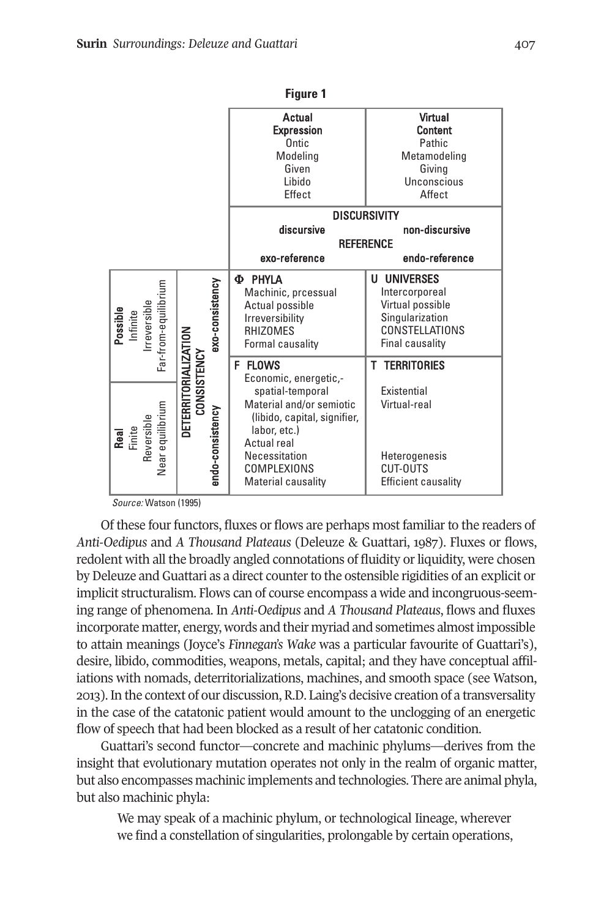

**Figure 1**

*Source:* Watson (1995)

Of these four functors, fluxes or flows are perhaps most familiar to the readers of *Anti-Oedipus* and *A Thousand Plateaus* (Deleuze & Guattari, 1987). Fluxes or flows, redolent with all the broadly angled connotations of fluidity or liquidity, were chosen by Deleuze and Guattari as a direct counter to the ostensible rigidities of an explicit or implicit structuralism. Flows can of course encompass a wide and incongruous-seeming range of phenomena. In *Anti-Oedipus* and *A Thousand Plateaus*, flows and fluxes incorporate matter, energy, words and their myriad and sometimes almostimpossible to attain meanings (Joyce's *Finnegan's Wake* was a particular favourite of Guattari's), desire, libido, commodities, weapons, metals, capital; and they have conceptual affiliations with nomads, deterritorializations, machines, and smooth space (see Watson, 2013).In the context of our discussion, R.D. Laing's decisive creation of a transversality in the case of the catatonic patient would amount to the unclogging of an energetic flow of speech that had been blocked as a result of her catatonic condition.

Guattari's second functor—concrete and machinic phylums—derives from the insight that evolutionary mutation operates not only in the realm of organic matter, but also encompasses machinic implements and technologies. There are animal phyla, but also machinic phyla:

We may speak of a machinic phylum, or technological Iineage, wherever we find a constellation of singularities, prolongable by certain operations,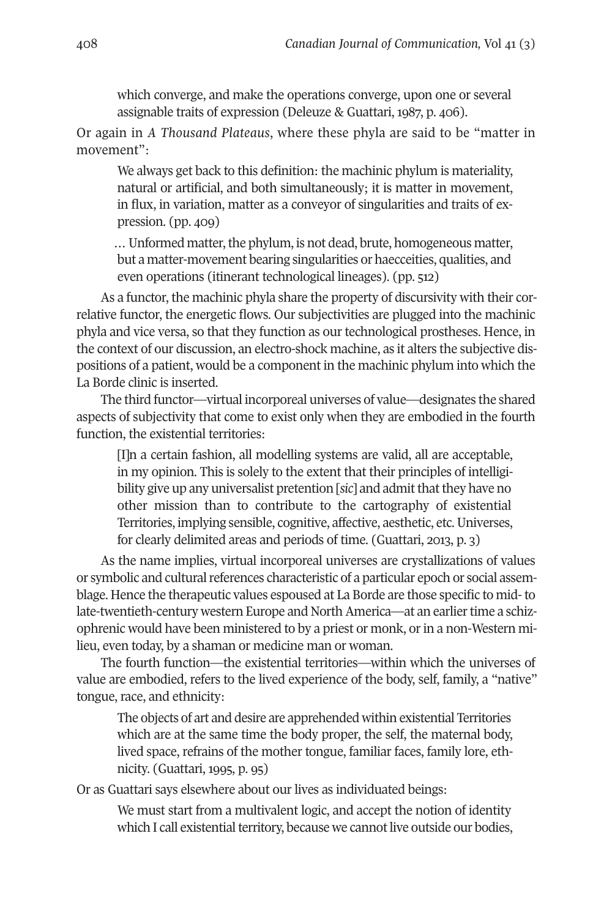which converge, and make the operations converge, upon one or several assignable traits of expression (Deleuze & Guattari, 1987, p. 406).

Or again in *A Thousand Plateaus*, where these phyla are said to be "matter in movement":

We always get back to this definition: the machinic phylum is materiality, natural or artificial, and both simultaneously; it is matter in movement, in flux, in variation, matter as a conveyor of singularities and traits of expression. (pp. 409)

... Unformed matter, the phylum, is not dead, brute, homogeneous matter, but a matter-movement bearing singularities or haecceities, qualities, and even operations (itinerant technological lineages). (pp. 512)

As a functor, the machinic phyla share the property of discursivity with their correlative functor, the energetic flows. Our subjectivities are plugged into the machinic phyla and vice versa, so that they function as our technological prostheses. Hence, in the context of our discussion, an electro-shock machine, as it alters the subjective dispositions of a patient, would be a component in the machinic phylum into which the La Borde clinic is inserted.

The third functor—virtual incorporeal universes of value—designates the shared aspects of subjectivity that come to exist only when they are embodied in the fourth function, the existential territories:

[I]n a certain fashion, all modelling systems are valid, all are acceptable, in my opinion. This is solely to the extent that their principles of intelligibility give up any universalist pretention [sic] and admit that they have no other mission than to contribute to the cartography of existential Territories, implying sensible, cognitive, affective, aesthetic, etc.Universes, for clearly delimited areas and periods of time. (Guattari, 2013, p. 3)

As the name implies, virtual incorporeal universes are crystallizations of values or symbolic and cultural references characteristic of a particular epoch or social assemblage. Hence the therapeutic values espoused at La Borde are those specific to mid- to late-twentieth-century western Europe and North America—at an earlier time a schizophrenic would have been ministered to by a priest or monk, orin a non-Western milieu, even today, by a shaman or medicine man or woman.

The fourth function—the existential territories—within which the universes of value are embodied, refers to the lived experience of the body, self, family, a "native" tongue, race, and ethnicity:

The objects of art and desire are apprehended within existential Territories which are at the same time the body proper, the self, the maternal body, lived space, refrains of the mother tongue, familiar faces, family lore, ethnicity. (Guattari, 1995, p. 95)

Or as Guattari says elsewhere about our lives as individuated beings:

We must start from a multivalent logic, and accept the notion of identity which I call existential territory, because we cannot live outside our bodies,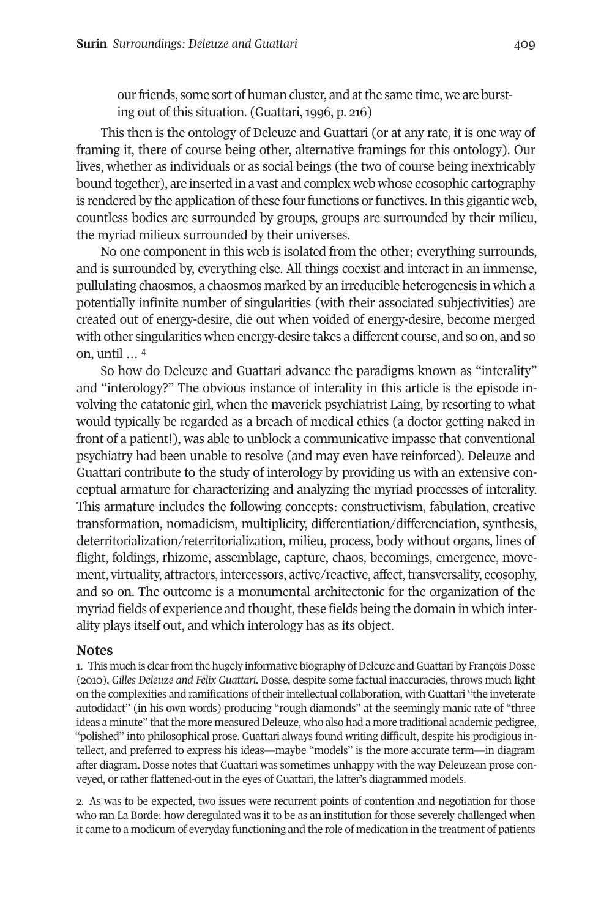our friends, some sort of human cluster, and at the same time, we are bursting out of this situation. (Guattari, 1996, p. 216)

This then is the ontology of Deleuze and Guattari (or at any rate, it is one way of framing it, there of course being other, alternative framings for this ontology). Our lives, whether as individuals or as social beings (the two of course being inextricably bound together), are inserted in a vast and complex web whose ecosophic cartography is rendered by the application of these four functions or functives. In this gigantic web, countless bodies are surrounded by groups, groups are surrounded by their milieu, the myriad milieux surrounded by their universes.

No one component in this web is isolated from the other; everything surrounds, and is surrounded by, everything else. All things coexist and interact in an immense, pullulating chaosmos, a chaosmos marked by an irreducible heterogenesis in which a potentially infinite number of singularities (with their associated subjectivities) are created out of energy-desire, die out when voided of energy-desire, become merged with other [sin](#page-7-1)gularities when energy-desire takes a different course, and so on, and so on, until … <sup>4</sup>

So how do Deleuze and Guattari advance the paradigms known as "interality" and "interology?" The obvious instance of interality in this article is the episode involving the catatonic girl, when the maverick psychiatrist Laing, by resorting to what would typically be regarded as a breach of medical ethics (a doctor getting naked in front of a patient!), was able to unblock a communicative impasse that conventional psychiatry had been unable to resolve (and may even have reinforced). Deleuze and Guattari contribute to the study of interology by providing us with an extensive conceptual armature for characterizing and analyzing the myriad processes of interality. This armature includes the following concepts: constructivism, fabulation, creative transformation, nomadicism, multiplicity, differentiation/differenciation, synthesis, deterritorialization/reterritorialization, milieu, process, body without organs, lines of flight, foldings, rhizome, assemblage, capture, chaos, becomings, emergence, movement, virtuality, attractors, intercessors, active/reactive, affect, transversality, ecosophy, and so on. The outcome is a monumental architectonic for the organization of the myriad fields of experience and thought, these fields being the domain in which interality plays itself out, and which interology has as its object.

#### <span id="page-6-0"></span>**Notes**

1. This much is clear from the hugely informative biography of Deleuze and Guattari by François Dosse (2010), *Gilles Deleuze and Félix Guattari*. Dosse, despite some factual inaccuracies, throws much light on the complexities and ramifications of their intellectual collaboration, with Guattari "the inveterate autodidact" (in his own words) producing "rough diamonds" at the seemingly manic rate of "three ideas a minute" that the more measured Deleuze, who also had a more traditional academic pedigree, "polished" into philosophical prose. Guattari always found writing difficult, despite his prodigious intellect, and preferred to express his ideas—maybe "models" is the more accurate term—in diagram after diagram. Dosse notes that Guattari was sometimes unhappy with the way Deleuzean prose conveyed, or rather flattened-out in the eyes of Guattari, the latter's diagrammed models.

<span id="page-6-1"></span>2. As was to be expected, two issues were recurrent points of contention and negotiation for those who ran La Borde: how deregulated was it to be as an institution for those severely challenged when it came to a modicum of everyday functioning and the role of medication in the treatment of patients